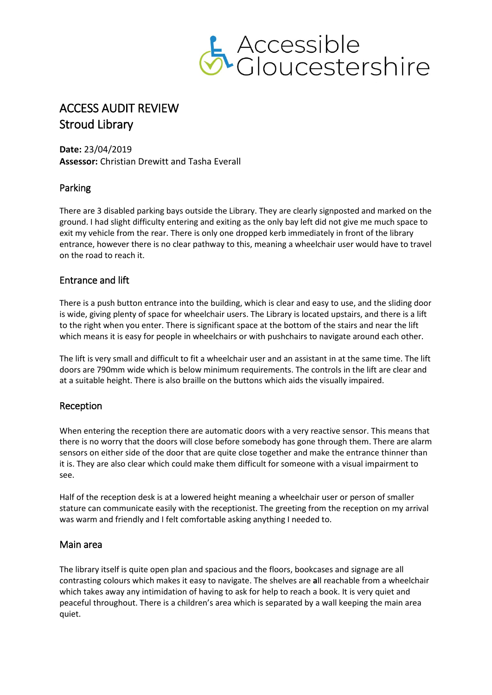

# ACCESS AUDIT REVIEW Stroud Library

**Date:** 23/04/2019 **Assessor:** Christian Drewitt and Tasha Everall

# Parking

There are 3 disabled parking bays outside the Library. They are clearly signposted and marked on the ground. I had slight difficulty entering and exiting as the only bay left did not give me much space to exit my vehicle from the rear. There is only one dropped kerb immediately in front of the library entrance, however there is no clear pathway to this, meaning a wheelchair user would have to travel on the road to reach it.

# Entrance and lift

There is a push button entrance into the building, which is clear and easy to use, and the sliding door is wide, giving plenty of space for wheelchair users. The Library is located upstairs, and there is a lift to the right when you enter. There is significant space at the bottom of the stairs and near the lift which means it is easy for people in wheelchairs or with pushchairs to navigate around each other.

The lift is very small and difficult to fit a wheelchair user and an assistant in at the same time. The lift doors are 790mm wide which is below minimum requirements. The controls in the lift are clear and at a suitable height. There is also braille on the buttons which aids the visually impaired.

# Reception

When entering the reception there are automatic doors with a very reactive sensor. This means that there is no worry that the doors will close before somebody has gone through them. There are alarm sensors on either side of the door that are quite close together and make the entrance thinner than it is. They are also clear which could make them difficult for someone with a visual impairment to see.

Half of the reception desk is at a lowered height meaning a wheelchair user or person of smaller stature can communicate easily with the receptionist. The greeting from the reception on my arrival was warm and friendly and I felt comfortable asking anything I needed to.

## Main area

The library itself is quite open plan and spacious and the floors, bookcases and signage are all contrasting colours which makes it easy to navigate. The shelves are **a**ll reachable from a wheelchair which takes away any intimidation of having to ask for help to reach a book. It is very quiet and peaceful throughout. There is a children's area which is separated by a wall keeping the main area quiet.